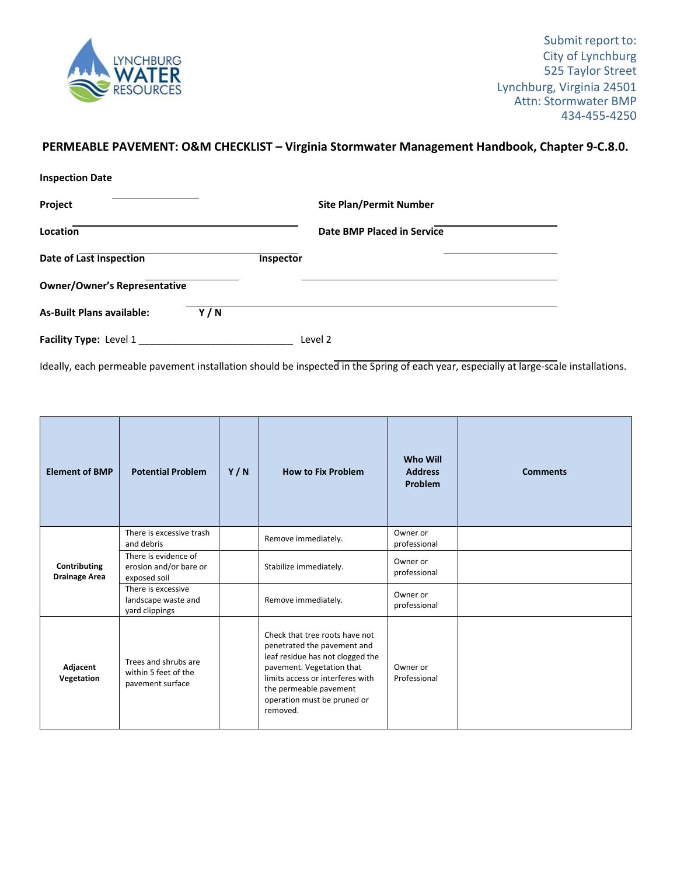

## **PERMEABLE PAVEMENT: O&M CHECKLIST – Virginia Stormwater Management Handbook, Chapter 9‐C.8.0.**

| <b>Inspection Date</b>              |     |           |                                |
|-------------------------------------|-----|-----------|--------------------------------|
| Project                             |     |           | <b>Site Plan/Permit Number</b> |
| Location                            |     |           | Date BMP Placed in Service     |
| Date of Last Inspection             |     | Inspector |                                |
| <b>Owner/Owner's Representative</b> |     |           |                                |
| <b>As-Built Plans available:</b>    | Y/N |           |                                |
| Facility Type: Level 1              |     |           | Level 2                        |

Ideally, each permeable pavement installation should be inspected in the Spring of each year, especially at large-scale installations.

| <b>Element of BMP</b>                | <b>Potential Problem</b>                                         | Y/N | <b>How to Fix Problem</b>                                                                                                                                                                                                               | <b>Who Will</b><br><b>Address</b><br>Problem | <b>Comments</b> |
|--------------------------------------|------------------------------------------------------------------|-----|-----------------------------------------------------------------------------------------------------------------------------------------------------------------------------------------------------------------------------------------|----------------------------------------------|-----------------|
| Contributing<br><b>Drainage Area</b> | There is excessive trash<br>and debris                           |     | Remove immediately.                                                                                                                                                                                                                     | Owner or<br>professional                     |                 |
|                                      | There is evidence of<br>erosion and/or bare or<br>exposed soil   |     | Stabilize immediately.                                                                                                                                                                                                                  | Owner or<br>professional                     |                 |
|                                      | There is excessive<br>landscape waste and<br>yard clippings      |     | Remove immediately.                                                                                                                                                                                                                     | Owner or<br>professional                     |                 |
| Adjacent<br>Vegetation               | Trees and shrubs are<br>within 5 feet of the<br>pavement surface |     | Check that tree roots have not<br>penetrated the pavement and<br>leaf residue has not clogged the<br>pavement. Vegetation that<br>limits access or interferes with<br>the permeable pavement<br>operation must be pruned or<br>removed. | Owner or<br>Professional                     |                 |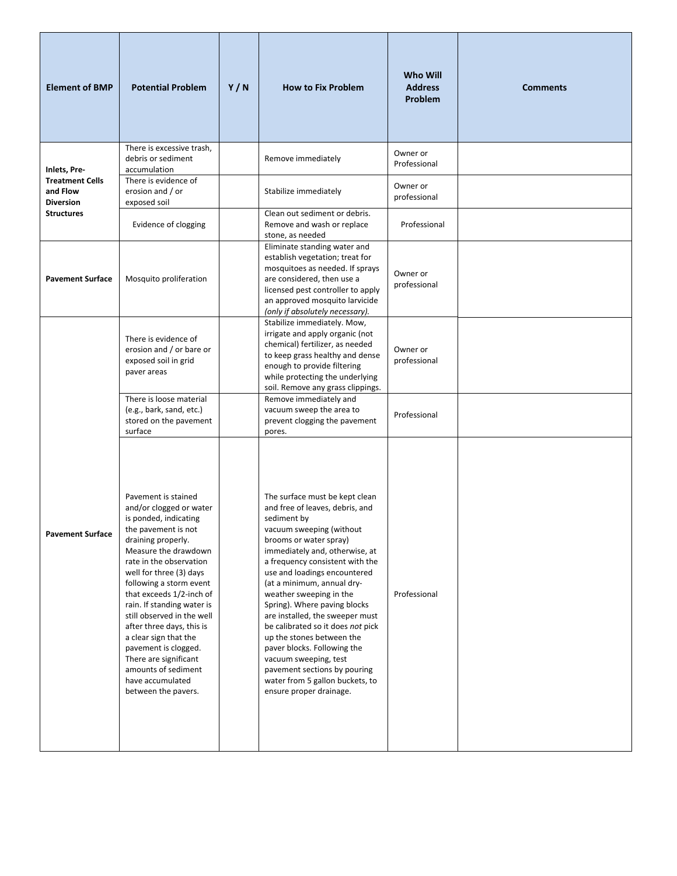| <b>Element of BMP</b>                                                                       | <b>Potential Problem</b>                                                                                                                                                                                                                                                                                                                                                                                                                                                                       | Y/N | <b>How to Fix Problem</b>                                                                                                                                                                                                                                                                                                                                                                                                                                                                                                                                                                       | <b>Who Will</b><br><b>Address</b><br>Problem | <b>Comments</b> |
|---------------------------------------------------------------------------------------------|------------------------------------------------------------------------------------------------------------------------------------------------------------------------------------------------------------------------------------------------------------------------------------------------------------------------------------------------------------------------------------------------------------------------------------------------------------------------------------------------|-----|-------------------------------------------------------------------------------------------------------------------------------------------------------------------------------------------------------------------------------------------------------------------------------------------------------------------------------------------------------------------------------------------------------------------------------------------------------------------------------------------------------------------------------------------------------------------------------------------------|----------------------------------------------|-----------------|
| Inlets, Pre-<br><b>Treatment Cells</b><br>and Flow<br><b>Diversion</b><br><b>Structures</b> | There is excessive trash,<br>debris or sediment<br>accumulation<br>There is evidence of                                                                                                                                                                                                                                                                                                                                                                                                        |     | Remove immediately                                                                                                                                                                                                                                                                                                                                                                                                                                                                                                                                                                              | Owner or<br>Professional                     |                 |
|                                                                                             | erosion and / or<br>exposed soil                                                                                                                                                                                                                                                                                                                                                                                                                                                               |     | Stabilize immediately                                                                                                                                                                                                                                                                                                                                                                                                                                                                                                                                                                           | Owner or<br>professional                     |                 |
|                                                                                             | Evidence of clogging                                                                                                                                                                                                                                                                                                                                                                                                                                                                           |     | Clean out sediment or debris.<br>Remove and wash or replace<br>stone, as needed                                                                                                                                                                                                                                                                                                                                                                                                                                                                                                                 | Professional                                 |                 |
| <b>Pavement Surface</b>                                                                     | Mosquito proliferation                                                                                                                                                                                                                                                                                                                                                                                                                                                                         |     | Eliminate standing water and<br>establish vegetation; treat for<br>mosquitoes as needed. If sprays<br>are considered, then use a<br>licensed pest controller to apply<br>an approved mosquito larvicide<br>(only if absolutely necessary).                                                                                                                                                                                                                                                                                                                                                      | Owner or<br>professional                     |                 |
|                                                                                             | There is evidence of<br>erosion and / or bare or<br>exposed soil in grid<br>paver areas                                                                                                                                                                                                                                                                                                                                                                                                        |     | Stabilize immediately. Mow,<br>irrigate and apply organic (not<br>chemical) fertilizer, as needed<br>to keep grass healthy and dense<br>enough to provide filtering<br>while protecting the underlying<br>soil. Remove any grass clippings.                                                                                                                                                                                                                                                                                                                                                     | Owner or<br>professional                     |                 |
|                                                                                             | There is loose material<br>(e.g., bark, sand, etc.)<br>stored on the pavement<br>surface                                                                                                                                                                                                                                                                                                                                                                                                       |     | Remove immediately and<br>vacuum sweep the area to<br>prevent clogging the pavement<br>pores.                                                                                                                                                                                                                                                                                                                                                                                                                                                                                                   | Professional                                 |                 |
| <b>Pavement Surface</b>                                                                     | Pavement is stained<br>and/or clogged or water<br>is ponded, indicating<br>the pavement is not<br>draining properly.<br>Measure the drawdown<br>rate in the observation<br>well for three (3) days<br>following a storm event<br>that exceeds 1/2-inch of<br>rain. If standing water is<br>still observed in the well<br>after three days, this is<br>a clear sign that the<br>pavement is clogged.<br>There are significant<br>amounts of sediment<br>have accumulated<br>between the pavers. |     | The surface must be kept clean<br>and free of leaves, debris, and<br>sediment by<br>vacuum sweeping (without<br>brooms or water spray)<br>immediately and, otherwise, at<br>a frequency consistent with the<br>use and loadings encountered<br>(at a minimum, annual dry-<br>weather sweeping in the<br>Spring). Where paving blocks<br>are installed, the sweeper must<br>be calibrated so it does not pick<br>up the stones between the<br>paver blocks. Following the<br>vacuum sweeping, test<br>pavement sections by pouring<br>water from 5 gallon buckets, to<br>ensure proper drainage. | Professional                                 |                 |